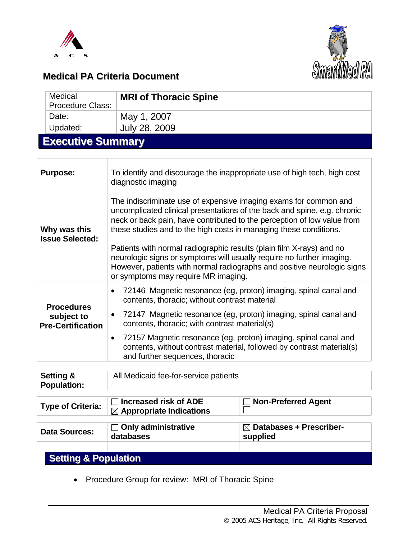



# **Medical PA Criteria Document**

| Medical<br><b>Procedure Class:</b> | <b>MRI of Thoracic Spine</b> |  |  |  |
|------------------------------------|------------------------------|--|--|--|
| Date:                              | May 1, 2007                  |  |  |  |
| Updated:                           | July 28, 2009                |  |  |  |
| Fire and the America and           |                              |  |  |  |

## **Executive Summary**

| <b>Purpose:</b>                                             | To identify and discourage the inappropriate use of high tech, high cost<br>diagnostic imaging                                                                                                                                                                                                                                                                                                                                                                                                                                                                  |  |  |
|-------------------------------------------------------------|-----------------------------------------------------------------------------------------------------------------------------------------------------------------------------------------------------------------------------------------------------------------------------------------------------------------------------------------------------------------------------------------------------------------------------------------------------------------------------------------------------------------------------------------------------------------|--|--|
| Why was this<br><b>Issue Selected:</b>                      | The indiscriminate use of expensive imaging exams for common and<br>uncomplicated clinical presentations of the back and spine, e.g. chronic<br>neck or back pain, have contributed to the perception of low value from<br>these studies and to the high costs in managing these conditions.<br>Patients with normal radiographic results (plain film X-rays) and no<br>neurologic signs or symptoms will usually require no further imaging.<br>However, patients with normal radiographs and positive neurologic signs<br>or symptoms may require MR imaging. |  |  |
| <b>Procedures</b><br>subject to<br><b>Pre-Certification</b> | 72146 Magnetic resonance (eg, proton) imaging, spinal canal and<br>contents, thoracic; without contrast material<br>72147 Magnetic resonance (eg, proton) imaging, spinal canal and<br>contents, thoracic; with contrast material(s)<br>72157 Magnetic resonance (eg, proton) imaging, spinal canal and<br>contents, without contrast material, followed by contrast material(s)<br>and further sequences, thoracic                                                                                                                                             |  |  |

| <b>Setting &amp;</b><br><b>Population:</b> | All Medicaid fee-for-service patients                               |                                                 |  |
|--------------------------------------------|---------------------------------------------------------------------|-------------------------------------------------|--|
| <b>Type of Criteria:</b>                   | <b>Increased risk of ADE</b><br>$\boxtimes$ Appropriate Indications | $\Box$ Non-Preferred Agent                      |  |
| <b>Data Sources:</b>                       | $\Box$ Only administrative<br>databases                             | $\boxtimes$ Databases + Prescriber-<br>supplied |  |
| <b>Setting &amp; Population</b>            |                                                                     |                                                 |  |

• Procedure Group for review: MRI of Thoracic Spine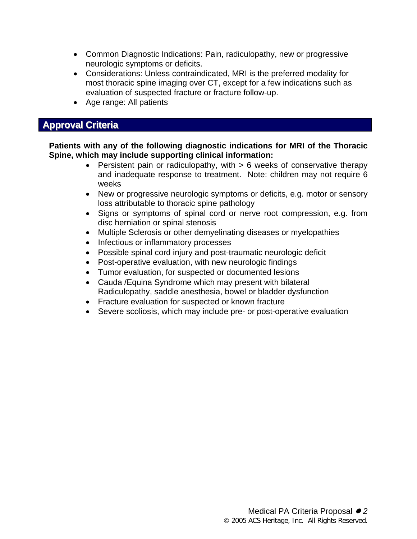- Common Diagnostic Indications: Pain, radiculopathy, new or progressive neurologic symptoms or deficits.
- Considerations: Unless contraindicated, MRI is the preferred modality for most thoracic spine imaging over CT, except for a few indications such as evaluation of suspected fracture or fracture follow-up.
- Age range: All patients

### **Approval Criteria**

**Patients with any of the following diagnostic indications for MRI of the Thoracic Spine, which may include supporting clinical information:** 

- Persistent pain or radiculopathy, with  $> 6$  weeks of conservative therapy and inadequate response to treatment. Note: children may not require 6 weeks
- New or progressive neurologic symptoms or deficits, e.g. motor or sensory loss attributable to thoracic spine pathology
- Signs or symptoms of spinal cord or nerve root compression, e.g. from disc herniation or spinal stenosis
- Multiple Sclerosis or other demyelinating diseases or myelopathies
- Infectious or inflammatory processes
- Possible spinal cord injury and post-traumatic neurologic deficit
- Post-operative evaluation, with new neurologic findings
- Tumor evaluation, for suspected or documented lesions
- Cauda /Equina Syndrome which may present with bilateral Radiculopathy, saddle anesthesia, bowel or bladder dysfunction
- Fracture evaluation for suspected or known fracture
- Severe scoliosis, which may include pre- or post-operative evaluation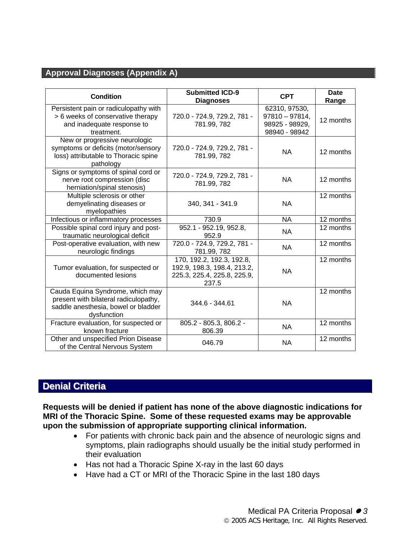#### **Approval Diagnoses (Appendix A)**

| <b>Condition</b>                                                                                                                | <b>Submitted ICD-9</b><br><b>Diagnoses</b>                                                       | <b>CPT</b>                                                           | <b>Date</b><br>Range |
|---------------------------------------------------------------------------------------------------------------------------------|--------------------------------------------------------------------------------------------------|----------------------------------------------------------------------|----------------------|
| Persistent pain or radiculopathy with<br>> 6 weeks of conservative therapy<br>and inadequate response to<br>treatment.          | 720.0 - 724.9, 729.2, 781 -<br>781.99, 782                                                       | 62310, 97530,<br>$97810 - 97814,$<br>98925 - 98929,<br>98940 - 98942 | 12 months            |
| New or progressive neurologic<br>symptoms or deficits (motor/sensory<br>loss) attributable to Thoracic spine<br>pathology       | 720.0 - 724.9, 729.2, 781 -<br>781.99, 782                                                       | <b>NA</b>                                                            | 12 months            |
| Signs or symptoms of spinal cord or<br>nerve root compression (disc<br>herniation/spinal stenosis)                              | 720.0 - 724.9, 729.2, 781 -<br>781.99, 782                                                       | <b>NA</b>                                                            | 12 months            |
| Multiple sclerosis or other<br>demyelinating diseases or<br>myelopathies                                                        | 340, 341 - 341.9                                                                                 | <b>NA</b>                                                            | 12 months            |
| Infectious or inflammatory processes                                                                                            | 730.9                                                                                            | <b>NA</b>                                                            | 12 months            |
| Possible spinal cord injury and post-<br>traumatic neurological deficit                                                         | 952.1 - 952.19, 952.8,<br>952.9                                                                  | NA                                                                   | 12 months            |
| Post-operative evaluation, with new<br>neurologic findings                                                                      | 720.0 - 724.9, 729.2, 781 -<br>781.99, 782                                                       | <b>NA</b>                                                            | 12 months            |
| Tumor evaluation, for suspected or<br>documented lesions                                                                        | 170, 192.2, 192.3, 192.8,<br>192.9, 198.3, 198.4, 213.2,<br>225.3, 225.4, 225.8, 225.9,<br>237.5 | <b>NA</b>                                                            | 12 months            |
| Cauda Equina Syndrome, which may<br>present with bilateral radiculopathy,<br>saddle anesthesia, bowel or bladder<br>dysfunction | 344.6 - 344.61                                                                                   | <b>NA</b>                                                            | 12 months            |
| Fracture evaluation, for suspected or<br>known fracture                                                                         | 805.2 - 805.3, 806.2 -<br>806.39                                                                 | <b>NA</b>                                                            | 12 months            |
| Other and unspecified Prion Disease<br>of the Central Nervous System                                                            | 046.79                                                                                           | <b>NA</b>                                                            | 12 months            |

## **Denial Criteria**

**Requests will be denied if patient has none of the above diagnostic indications for MRI of the Thoracic Spine. Some of these requested exams may be approvable upon the submission of appropriate supporting clinical information.** 

- For patients with chronic back pain and the absence of neurologic signs and symptoms, plain radiographs should usually be the initial study performed in their evaluation
- Has not had a Thoracic Spine X-ray in the last 60 days
- Have had a CT or MRI of the Thoracic Spine in the last 180 days